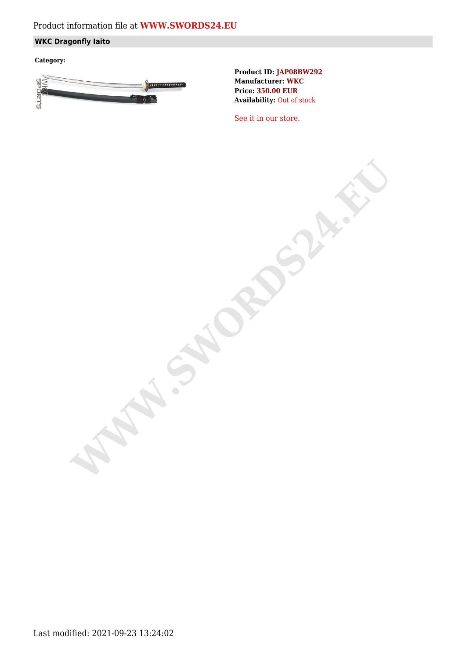# **WKC Dragonfly Iaito**

**Category:**



**Product ID: JAP08BW292 Manufacturer: WKC Price: 350.00 EUR Availability:** Out of stock

[See it in our store.](https://www.swords24.eu/product/description/1124/WKC-Dragonfly-Iaito-JAP08BW302.html)

**WARDSH.SW.SWORDS**